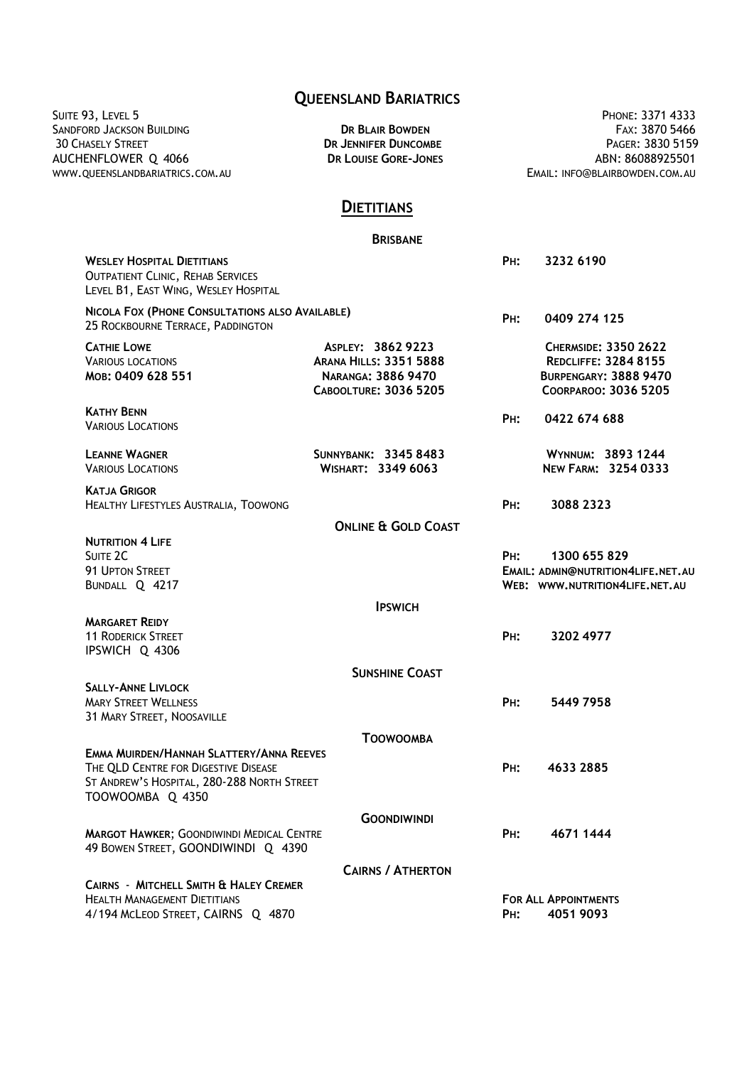Suite 93, Level 5<br>
Sandford Jackson Building<br>
Sandford Jackson Building SANDFORD JACKSON BUILDING **SANDFORD JACKSON BUILDING** DR BLAIR BOWDEN **FAX: 3870 5466**<br>30 Chasely Street Street by the Sandy Street Building Dr Jennifer Duncombe AUCHENFLOWER Q 4066 **DR LOUISE GORE-JONES** ABN: 86088925501<br>WWW.QUEENSLANDBARIATRICS.COM.AU **DR LOUISE GORE-JONES** EMAIL: INFO@BLAIRBOWDEN.COM.AU WWW.QUEENSLANDBARIATRICS.COM.AU

# QUEENSLAND BARIATRICS

DR JENNIFER DUNCOMBE

## **DIETITIANS**

#### **BRISBANE**

| <b>WESLEY HOSPITAL DIETITIANS</b><br><b>OUTPATIENT CLINIC, REHAB SERVICES</b><br>LEVEL B1, EAST WING, WESLEY HOSPITAL                              |                                                                                                   | PH: | 3232 6190                                                                                                          |
|----------------------------------------------------------------------------------------------------------------------------------------------------|---------------------------------------------------------------------------------------------------|-----|--------------------------------------------------------------------------------------------------------------------|
| NICOLA FOX (PHONE CONSULTATIONS ALSO AVAILABLE)<br>25 ROCKBOURNE TERRACE, PADDINGTON                                                               |                                                                                                   | PH: | 0409 274 125                                                                                                       |
| <b>CATHIE LOWE</b><br><b>VARIOUS LOCATIONS</b><br>MOB: 0409 628 551                                                                                | ASPLEY: 3862 9223<br><b>ARANA HILLS: 3351 5888</b><br>NARANGA: 3886 9470<br>CABOOLTURE: 3036 5205 |     | <b>CHERMSIDE: 3350 2622</b><br><b>REDCLIFFE: 3284 8155</b><br><b>BURPENGARY: 3888 9470</b><br>COORPAROO: 3036 5205 |
| <b>KATHY BENN</b><br><b>VARIOUS LOCATIONS</b>                                                                                                      |                                                                                                   | PH: | 0422 674 688                                                                                                       |
| <b>LEANNE WAGNER</b><br><b>VARIOUS LOCATIONS</b>                                                                                                   | <b>SUNNYBANK: 3345 8483</b><br>WISHART: 3349 6063                                                 |     | WYNNUM: 3893 1244<br>NEW FARM: 3254 0333                                                                           |
| <b>KATJA GRIGOR</b><br>HEALTHY LIFESTYLES AUSTRALIA, TOOWONG                                                                                       |                                                                                                   | PH: | 3088 2323                                                                                                          |
|                                                                                                                                                    | <b>ONLINE &amp; GOLD COAST</b>                                                                    |     |                                                                                                                    |
| <b>NUTRITION 4 LIFE</b><br>SUITE 2C<br>91 UPTON STREET<br>BUNDALL Q 4217                                                                           |                                                                                                   | PH: | 1300 655 829<br>EMAIL: ADMIN@NUTRITION4LIFE.NET.AU<br>WEB: WWW.NUTRITION4LIFE.NET.AU                               |
|                                                                                                                                                    | <b>IPSWICH</b>                                                                                    |     |                                                                                                                    |
| <b>MARGARET REIDY</b><br><b>11 RODERICK STREET</b><br>IPSWICH Q 4306                                                                               |                                                                                                   | PH: | 3202 4977                                                                                                          |
|                                                                                                                                                    | <b>SUNSHINE COAST</b>                                                                             |     |                                                                                                                    |
| <b>SALLY-ANNE LIVLOCK</b><br><b>MARY STREET WELLNESS</b><br>31 MARY STREET, NOOSAVILLE                                                             |                                                                                                   | PH: | 5449 7958                                                                                                          |
|                                                                                                                                                    | <b>TOOWOOMBA</b>                                                                                  |     |                                                                                                                    |
| EMMA MUIRDEN/HANNAH SLATTERY/ANNA REEVES<br>THE QLD CENTRE FOR DIGESTIVE DISEASE<br>ST ANDREW'S HOSPITAL, 280-288 NORTH STREET<br>TOOWOOMBA Q 4350 |                                                                                                   | PH: | 4633 2885                                                                                                          |
|                                                                                                                                                    | <b>GOONDIWINDI</b>                                                                                |     |                                                                                                                    |
| <b>MARGOT HAWKER; GOONDIWINDI MEDICAL CENTRE</b><br>49 BOWEN STREET, GOONDIWINDI Q 4390                                                            |                                                                                                   | PH: | 4671 1444                                                                                                          |
|                                                                                                                                                    | <b>CAIRNS / ATHERTON</b>                                                                          |     |                                                                                                                    |
| CAIRNS - MITCHELL SMITH & HALEY CREMER<br><b>HEALTH MANAGEMENT DIETITIANS</b><br>4/194 MCLEOD STREET, CAIRNS Q 4870                                |                                                                                                   | PH: | FOR ALL APPOINTMENTS<br>4051 9093                                                                                  |
|                                                                                                                                                    |                                                                                                   |     |                                                                                                                    |